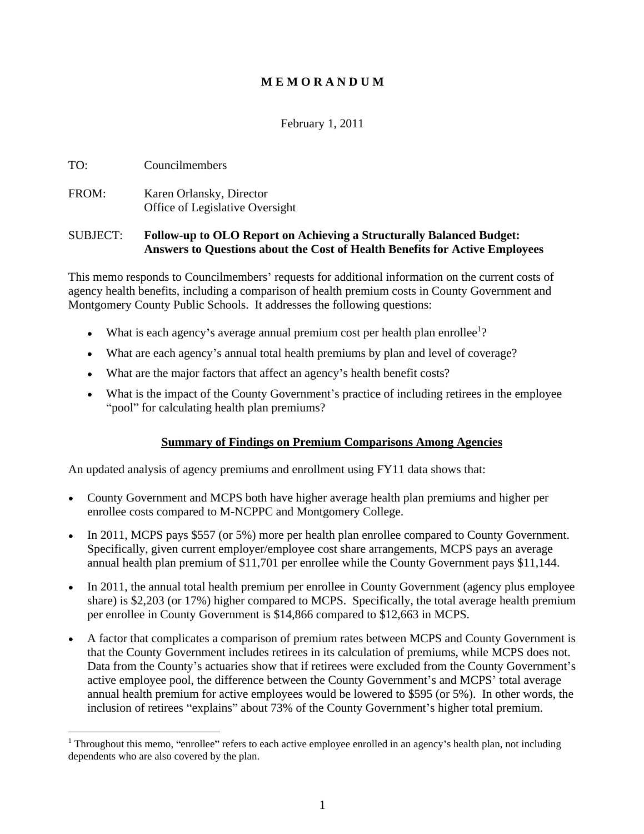## **M E M O R A N D U M**

## February 1, 2011

## TO: Councilmembers

FROM: Karen Orlansky, Director Office of Legislative Oversight

#### SUBJECT: **Follow-up to OLO Report on Achieving a Structurally Balanced Budget: Answers to Questions about the Cost of Health Benefits for Active Employees**

This memo responds to Councilmembers' requests for additional information on the current costs of agency health benefits, including a comparison of health premium costs in County Government and Montgomery County Public Schools. It addresses the following questions:

- What is each agency's average annual premium cost per health plan enrollee<sup>1</sup>? ?
- What are each agency's annual total health premiums by plan and level of coverage?
- What are the major factors that affect an agency's health benefit costs?
- What is the impact of the County Government's practice of including retirees in the employee "pool" for calculating health plan premiums?

#### **Summary of Findings on Premium Comparisons Among Agencies**

An updated analysis of agency premiums and enrollment using FY11 data shows that:

- County Government and MCPS both have higher average health plan premiums and higher per  $\bullet$ enrollee costs compared to M-NCPPC and Montgomery College.
- In 2011, MCPS pays \$557 (or 5%) more per health plan enrollee compared to County Government. Specifically, given current employer/employee cost share arrangements, MCPS pays an average  $\bullet$ annual health plan premium of \$11,701 per enrollee while the County Government pays \$11,144. In 2011, the annual total health premium per enrollee in County Government (agency plus employee
- share) is \$2,203 (or 17%) higher compared to MCPS. Specifically, the total average health premium per enrollee in County Government is \$14,866 compared to \$12,663 in MCPS.
- A factor that complicates a comparison of premium rates between MCPS and County Government is that the County Government includes retirees in its calculation of premiums, while MCPS does not. Data from the County's actuaries show that if retirees were excluded from the County Government's active employee pool, the difference between the County Government's and MCPS' total average annual health premium for active employees would be lowered to \$595 (or 5%). In other words, the inclusion of retirees "explains" about 73% of the County Government's higher total premium.

<sup>&</sup>lt;sup>1</sup> Throughout this memo, "enrollee" refers to each active employee enrolled in an agency's health plan, not including dependents who are also covered by the plan.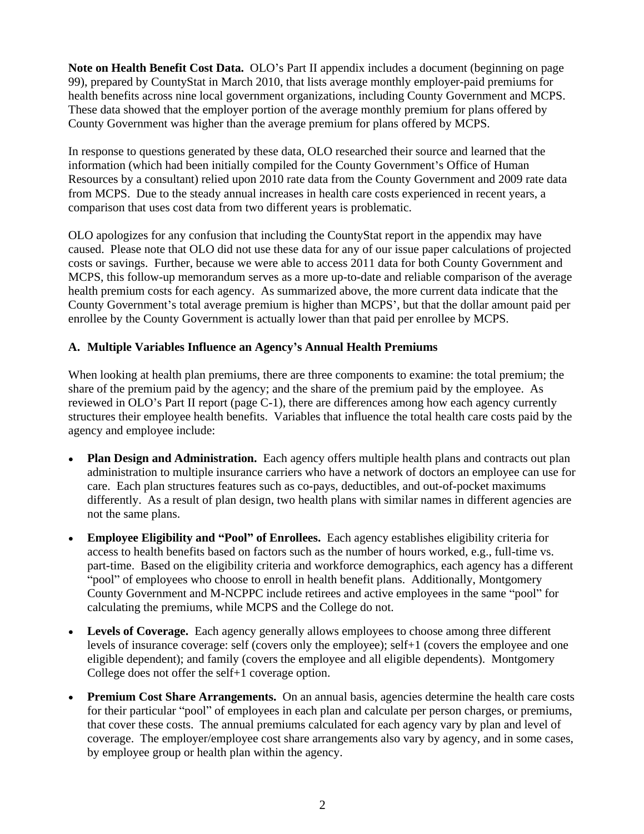**Note on Health Benefit Cost Data.** OLO's Part II appendix includes a document (beginning on page 99), prepared by CountyStat in March 2010, that lists average monthly employer-paid premiums for health benefits across nine local government organizations, including County Government and MCPS. These data showed that the employer portion of the average monthly premium for plans offered by County Government was higher than the average premium for plans offered by MCPS.

In response to questions generated by these data, OLO researched their source and learned that the information (which had been initially compiled for the County Government's Office of Human Resources by a consultant) relied upon 2010 rate data from the County Government and 2009 rate data from MCPS. Due to the steady annual increases in health care costs experienced in recent years, a comparison that uses cost data from two different years is problematic.

OLO apologizes for any confusion that including the CountyStat report in the appendix may have caused. Please note that OLO did not use these data for any of our issue paper calculations of projected costs or savings. Further, because we were able to access 2011 data for both County Government and MCPS, this follow-up memorandum serves as a more up-to-date and reliable comparison of the average health premium costs for each agency. As summarized above, the more current data indicate that the County Government's total average premium is higher than MCPS', but that the dollar amount paid per enrollee by the County Government is actually lower than that paid per enrollee by MCPS.

#### **A. Multiple Variables Influence an Agency s Annual Health Premiums**

When looking at health plan premiums, there are three components to examine: the total premium; the share of the premium paid by the agency; and the share of the premium paid by the employee. As reviewed in OLO's Part II report (page C-1), there are differences among how each agency currently structures their employee health benefits. Variables that influence the total health care costs paid by the agency and employee include:

- Plan Design and Administration. Each agency offers multiple health plans and contracts out plan administration to multiple insurance carriers who have a network of doctors an employee can use for care. Each plan structures features such as co-pays, deductibles, and out-of-pocket maximums differently. As a result of plan design, two health plans with similar names in different agencies are not the same plans.
- Employee Eligibility and "Pool" of Enrollees. Each agency establishes eligibility criteria for access to health benefits based on factors such as the number of hours worked, e.g., full-time vs. part-time. Based on the eligibility criteria and workforce demographics, each agency has a different "pool" of employees who choose to enroll in health benefit plans. Additionally, Montgomery County Government and M-NCPPC include retirees and active employees in the same "pool" for calculating the premiums, while MCPS and the College do not.
- **Levels of Coverage.** Each agency generally allows employees to choose among three different levels of insurance coverage: self (covers only the employee); self+1 (covers the employee and one eligible dependent); and family (covers the employee and all eligible dependents). Montgomery College does not offer the self+1 coverage option.
- **Premium Cost Share Arrangements.** On an annual basis, agencies determine the health care costs for their particular "pool" of employees in each plan and calculate per person charges, or premiums, that cover these costs. The annual premiums calculated for each agency vary by plan and level of coverage. The employer/employee cost share arrangements also vary by agency, and in some cases, by employee group or health plan within the agency.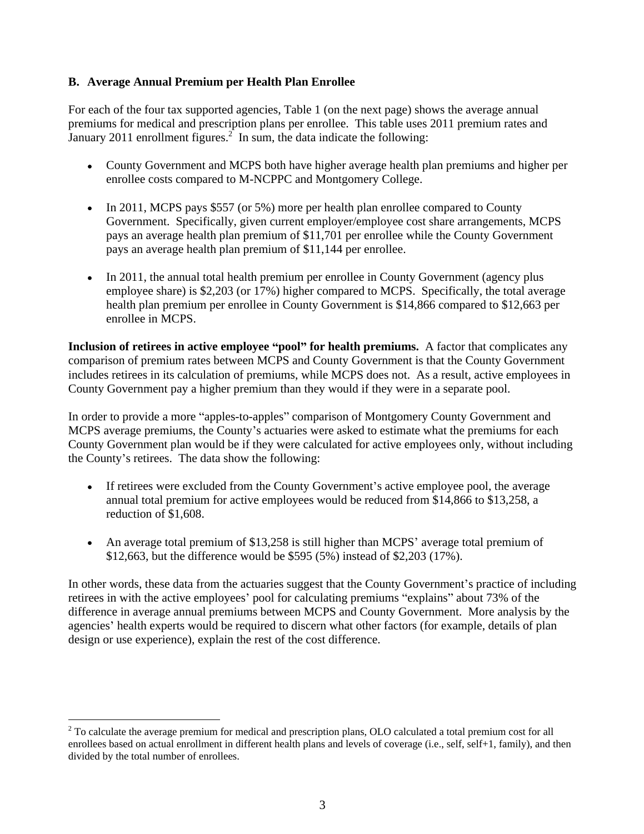## **B. Average Annual Premium per Health Plan Enrollee**

For each of the four tax supported agencies, Table 1 (on the next page) shows the average annual premiums for medical and prescription plans per enrollee. This table uses 2011 premium rates and January 2011 enrollment figures.<sup>2</sup> In sum, the data indicate the following:

- County Government and MCPS both have higher average health plan premiums and higher per enrollee costs compared to M-NCPPC and Montgomery College.
- In 2011, MCPS pays \$557 (or 5%) more per health plan enrollee compared to County Government. Specifically, given current employer/employee cost share arrangements, MCPS pays an average health plan premium of \$11,701 per enrollee while the County Government pays an average health plan premium of \$11,144 per enrollee.<br>• In 2011, the annual total health premium per enrollee in County Government (agency plus
- employee share) is \$2,203 (or 17%) higher compared to MCPS. Specifically, the total average health plan premium per enrollee in County Government is \$14,866 compared to \$12,663 per enrollee in MCPS.

**Inclusion of retirees in active employee "pool" for health premiums.** A factor that complicates any comparison of premium rates between MCPS and County Government is that the County Government includes retirees in its calculation of premiums, while MCPS does not. As a result, active employees in County Government pay a higher premium than they would if they were in a separate pool.

In order to provide a more "apples-to-apples" comparison of Montgomery County Government and MCPS average premiums, the County's actuaries were asked to estimate what the premiums for each County Government plan would be if they were calculated for active employees only, without including the County's retirees. The data show the following:

- If retirees were excluded from the County Government's active employee pool, the average annual total premium for active employees would be reduced from \$14,866 to \$13,258, a
- reduction of \$1,608.<br>An average total premium of \$13,258 is still higher than MCPS' average total premium of \$12,663, but the difference would be \$595 (5%) instead of \$2,203 (17%).

In other words, these data from the actuaries suggest that the County Government's practice of including retirees in with the active employees' pool for calculating premiums "explains" about 73% of the difference in average annual premiums between MCPS and County Government. More analysis by the agencies' health experts would be required to discern what other factors (for example, details of plan design or use experience), explain the rest of the cost difference.

<sup>&</sup>lt;sup>2</sup> To calculate the average premium for medical and prescription plans, OLO calculated a total premium cost for all enrollees based on actual enrollment in different health plans and levels of coverage (i.e., self, self+1, family), and then divided by the total number of enrollees.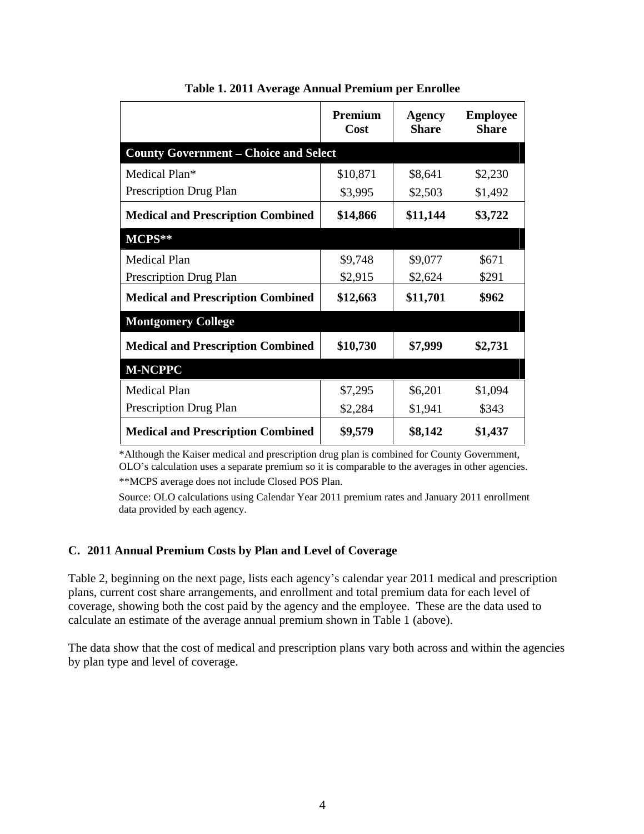|                                              | Premium<br>Cost | <b>Agency</b><br><b>Share</b> | <b>Employee</b><br><b>Share</b> |
|----------------------------------------------|-----------------|-------------------------------|---------------------------------|
| <b>County Government - Choice and Select</b> |                 |                               |                                 |
| Medical Plan*                                | \$10,871        | \$8,641                       | \$2,230                         |
| Prescription Drug Plan                       | \$3,995         | \$2,503                       | \$1,492                         |
| <b>Medical and Prescription Combined</b>     | \$14,866        | \$11,144                      | \$3,722                         |
| $MCPS**$                                     |                 |                               |                                 |
| Medical Plan                                 | \$9,748         | \$9,077                       | \$671                           |
| Prescription Drug Plan                       | \$2,915         | \$2,624                       | \$291                           |
| <b>Medical and Prescription Combined</b>     | \$12,663        | \$11,701                      | \$962                           |
| <b>Montgomery College</b>                    |                 |                               |                                 |
| <b>Medical and Prescription Combined</b>     | \$10,730        | \$7,999                       | \$2,731                         |
| <b>M-NCPPC</b>                               |                 |                               |                                 |
| Medical Plan                                 | \$7,295         | \$6,201                       | \$1,094                         |
| Prescription Drug Plan                       | \$2,284         | \$1,941                       | \$343                           |
| <b>Medical and Prescription Combined</b>     | \$9,579         | \$8,142                       | \$1,437                         |

| Table 1. 2011 Average Annual Premium per Enrollee |  |
|---------------------------------------------------|--|
|---------------------------------------------------|--|

\*Although the Kaiser medical and prescription drug plan is combined for County Government, OLO's calculation uses a separate premium so it is comparable to the averages in other agencies. \*\*MCPS average does not include Closed POS Plan.

Source: OLO calculations using Calendar Year 2011 premium rates and January 2011 enrollment data provided by each agency.

# **C. 2011 Annual Premium Costs by Plan and Level of Coverage**

Table 2, beginning on the next page, lists each agency's calendar year 2011 medical and prescription plans, current cost share arrangements, and enrollment and total premium data for each level of coverage, showing both the cost paid by the agency and the employee. These are the data used to calculate an estimate of the average annual premium shown in Table 1 (above).

The data show that the cost of medical and prescription plans vary both across and within the agencies by plan type and level of coverage.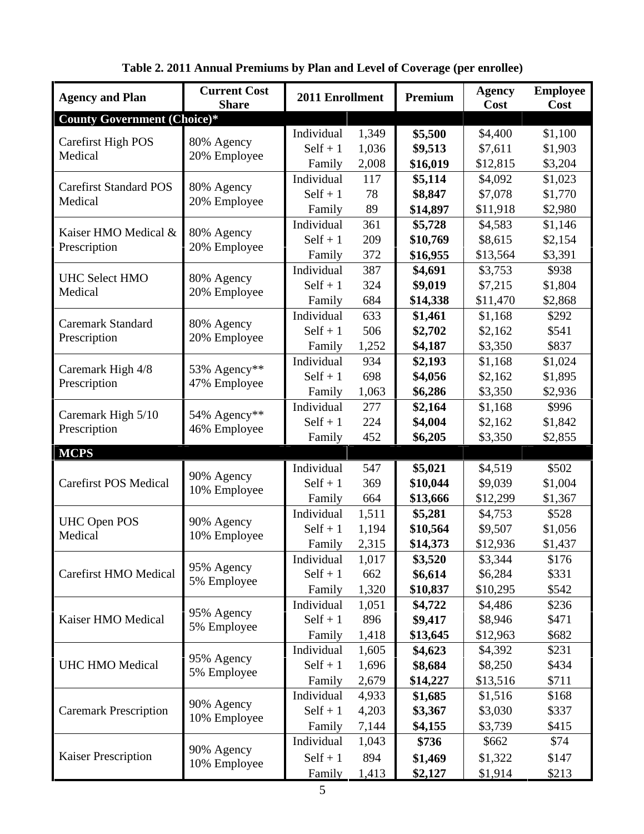| <b>Agency and Plan</b>             | <b>Current Cost</b><br><b>Share</b> | 2011 Enrollment                       |           | Premium             | <b>Agency</b><br>Cost | <b>Employee</b><br>Cost |
|------------------------------------|-------------------------------------|---------------------------------------|-----------|---------------------|-----------------------|-------------------------|
| <b>County Government (Choice)*</b> |                                     |                                       |           |                     |                       |                         |
| Carefirst High POS                 | 80% Agency                          | Individual<br>1,349                   |           | \$5,500             | \$4,400               | \$1,100                 |
| Medical                            | 20% Employee                        | $Self + 1$<br>1,036                   |           | \$9,513             | \$7,611               | \$1,903                 |
|                                    |                                     | Family<br>2,008                       |           | \$16,019            | \$12,815              | \$3,204                 |
| <b>Carefirst Standard POS</b>      | 80% Agency                          | Individual                            | 117       | \$5,114             | \$4,092               | \$1,023                 |
| Medical                            | 20% Employee                        | $Self + 1$<br>Family                  | 78<br>-89 | \$8,847<br>\$14,897 | \$7,078<br>\$11,918   | \$1,770<br>\$2,980      |
|                                    |                                     | Individual<br>361                     |           | \$5,728             | \$4,583               | \$1,146                 |
| Kaiser HMO Medical &               | 80% Agency                          | $Self + 1$<br>209                     |           | \$10,769            | \$8,615               | \$2,154                 |
| Prescription                       | 20% Employee                        | 372<br>Family                         |           | \$16,955            | \$13,564              | \$3,391                 |
|                                    |                                     | Individual                            | 387       | \$4,691             | \$3,753               | \$938                   |
| <b>UHC Select HMO</b>              | 80% Agency                          | $Self + 1$<br>324                     |           | \$9,019             | \$7,215               | \$1,804                 |
| Medical                            | 20% Employee                        | Family<br>684                         |           | \$14,338            | \$11,470              | \$2,868                 |
| <b>Caremark Standard</b>           | 80% Agency                          | Individual<br>633                     |           | \$1,461             | \$1,168               | \$292                   |
| Prescription                       | 20% Employee                        | $Self + 1$                            | 506       | \$2,702             | \$2,162               | \$541                   |
|                                    |                                     | Family<br>1,252                       |           | \$4,187             | \$3,350               | \$837                   |
| Caremark High 4/8                  | 53% Agency**                        | Individual<br>934                     |           | \$2,193             | \$1,168               | \$1,024                 |
| Prescription                       | 47% Employee                        | $Self + 1$<br>698                     |           | \$4,056             | \$2,162               | \$1,895                 |
|                                    |                                     | Family<br>1,063                       |           | \$6,286             | \$3,350               | \$2,936                 |
| Caremark High 5/10                 | 54% Agency**                        | Individual<br>277<br>$Self + 1$       | 224       | \$2,164<br>\$4,004  | \$1,168<br>\$2,162    | \$996<br>\$1,842        |
| Prescription                       | 46% Employee                        | Family                                | 452       | \$6,205             | \$3,350               | \$2,855                 |
| <b>MCPS</b>                        |                                     |                                       |           |                     |                       |                         |
|                                    |                                     | Individual<br>547                     |           | \$5,021             | \$4,519               | \$502                   |
| <b>Carefirst POS Medical</b>       | 90% Agency                          | $Self + 1$<br>369                     |           | \$10,044            | \$9,039               | \$1,004                 |
|                                    | 10% Employee                        | Family                                | 664       | \$13,666            | \$12,299              | \$1,367                 |
|                                    |                                     | Individual<br>1,51                    |           | \$5,281             | \$4,753               | \$528                   |
| UHC Open POS<br>Medical            | 90% Agency<br>10% Employee          | $Self + 1$<br>1,194                   |           | \$10,564            | \$9,507               | \$1,056                 |
|                                    |                                     | Family<br>2,315                       |           | \$14,373            | \$12,936              | \$1,437                 |
|                                    | $-95%$ Agency                       | Individual<br>1,017                   |           | \$3,520             | \$3,344               | \$176                   |
| <b>Carefirst HMO Medical</b>       | 5% Employee                         | $Self + 1$<br>662                     |           | \$6,614             | \$6,284               | \$331                   |
|                                    |                                     | 1,320<br>Family                       |           | \$10,837            | \$10,295              | \$542                   |
| Kaiser HMO Medical                 | 95% Agency                          | Individual 1,051<br>$Self + 1$<br>896 |           | \$4,722<br>\$9,417  | \$4,486<br>\$8,946    | \$236<br>\$471          |
|                                    | 5% Employee                         | Family 1,418                          |           | \$13,645            | \$12,963              | \$682                   |
|                                    |                                     | Individual<br>1,605                   |           | \$4,623             | \$4,392               | \$231                   |
| <b>UHC HMO Medical</b>             | 195% Agency                         | $Self + 1 1,696$                      |           | \$8,684             | \$8,250               | \$434                   |
|                                    | 5% Employee                         | Family<br>2,679                       |           | \$14,227            | \$13,516              | \$711                   |
|                                    |                                     | Individual 4,933                      |           | \$1,685             | \$1,516               | \$168                   |
| <b>Caremark Prescription</b>       | 90% Agency<br>10% Employee          | Self + 1 $4,203$                      |           | \$3,367             | \$3,030               | \$337                   |
|                                    |                                     | Family<br>7,144                       |           | \$4,155             | \$3,739               | \$415                   |
|                                    | 190% Agency                         | Individual 1,043                      |           | \$736               | \$662                 | \$74                    |
| Kaiser Prescription                | 10% Employee                        | $Self + 1$<br>894                     |           | \$1,469             | \$1,322               | \$147                   |
|                                    |                                     | Family                                |           | \$2,127             | \$1,914               | \$213                   |

|  | Table 2. 2011 Annual Premiums by Plan and Level of Coverage (per enrollee) |  |
|--|----------------------------------------------------------------------------|--|
|--|----------------------------------------------------------------------------|--|